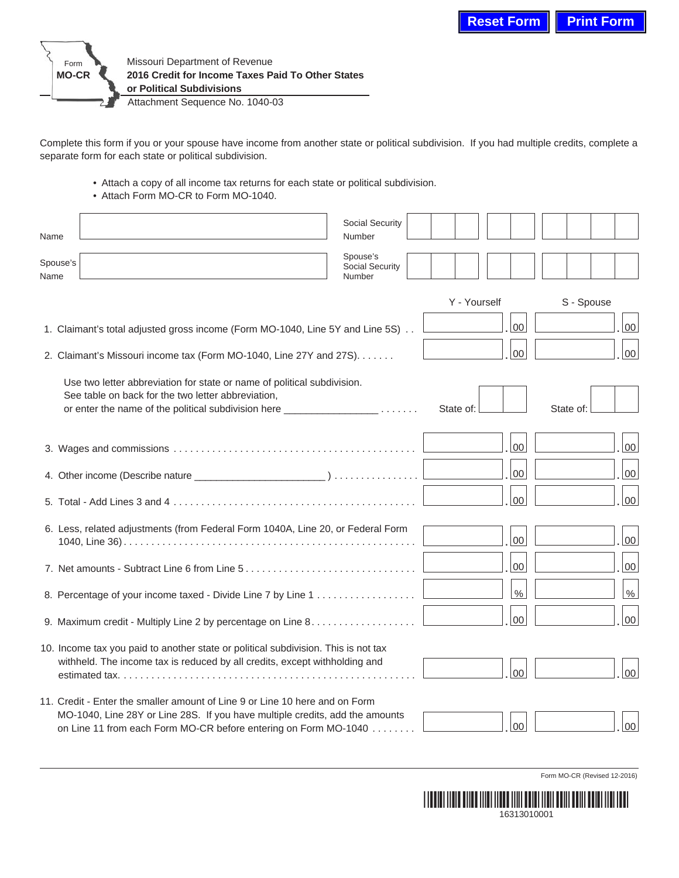

Complete this form if you or your spouse have income from another state or political subdivision. If you had multiple credits, complete a separate form for each state or political subdivision.

• Attach a copy of all income tax returns for each state or political subdivision.

• Attach Form MO-CR to Form MO-1040.

| Name                                                                          |                                                                                                                                                                                                                                | Social Security<br>Number             |              |        |            |                 |
|-------------------------------------------------------------------------------|--------------------------------------------------------------------------------------------------------------------------------------------------------------------------------------------------------------------------------|---------------------------------------|--------------|--------|------------|-----------------|
| Spouse's<br>Name                                                              |                                                                                                                                                                                                                                | Spouse's<br>Social Security<br>Number |              |        |            |                 |
|                                                                               |                                                                                                                                                                                                                                |                                       | Y - Yourself |        | S - Spouse |                 |
| 1. Claimant's total adjusted gross income (Form MO-1040, Line 5Y and Line 5S) |                                                                                                                                                                                                                                |                                       |              | $00\,$ |            | 00              |
| 2. Claimant's Missouri income tax (Form MO-1040, Line 27Y and 27S).           |                                                                                                                                                                                                                                |                                       |              | 00     |            | $00\,$          |
|                                                                               | Use two letter abbreviation for state or name of political subdivision.<br>See table on back for the two letter abbreviation,<br>or enter the name of the political subdivision here _________________                         |                                       | State of:    |        | State of:  |                 |
|                                                                               |                                                                                                                                                                                                                                |                                       |              | $00\,$ |            | 00              |
|                                                                               |                                                                                                                                                                                                                                |                                       |              | 00     |            | $00\,$          |
|                                                                               |                                                                                                                                                                                                                                |                                       |              | 00     |            | $00\,$          |
|                                                                               | 6. Less, related adjustments (from Federal Form 1040A, Line 20, or Federal Form                                                                                                                                                |                                       |              | 00     |            | 00              |
|                                                                               |                                                                                                                                                                                                                                |                                       |              | $00\,$ |            | 00              |
|                                                                               |                                                                                                                                                                                                                                |                                       |              | $\%$   |            | $\%$            |
|                                                                               | 9. Maximum credit - Multiply Line 2 by percentage on Line $8. \ldots \ldots \ldots \ldots$                                                                                                                                     |                                       |              | 00     |            | 00              |
|                                                                               | 10. Income tax you paid to another state or political subdivision. This is not tax<br>withheld. The income tax is reduced by all credits, except withholding and                                                               |                                       |              | $00\,$ |            | 00 <sup>°</sup> |
|                                                                               | 11. Credit - Enter the smaller amount of Line 9 or Line 10 here and on Form<br>MO-1040, Line 28Y or Line 28S. If you have multiple credits, add the amounts<br>on Line 11 from each Form MO-CR before entering on Form MO-1040 |                                       |              | 00     |            | 00              |

Form MO-CR (Revised 12-2016)